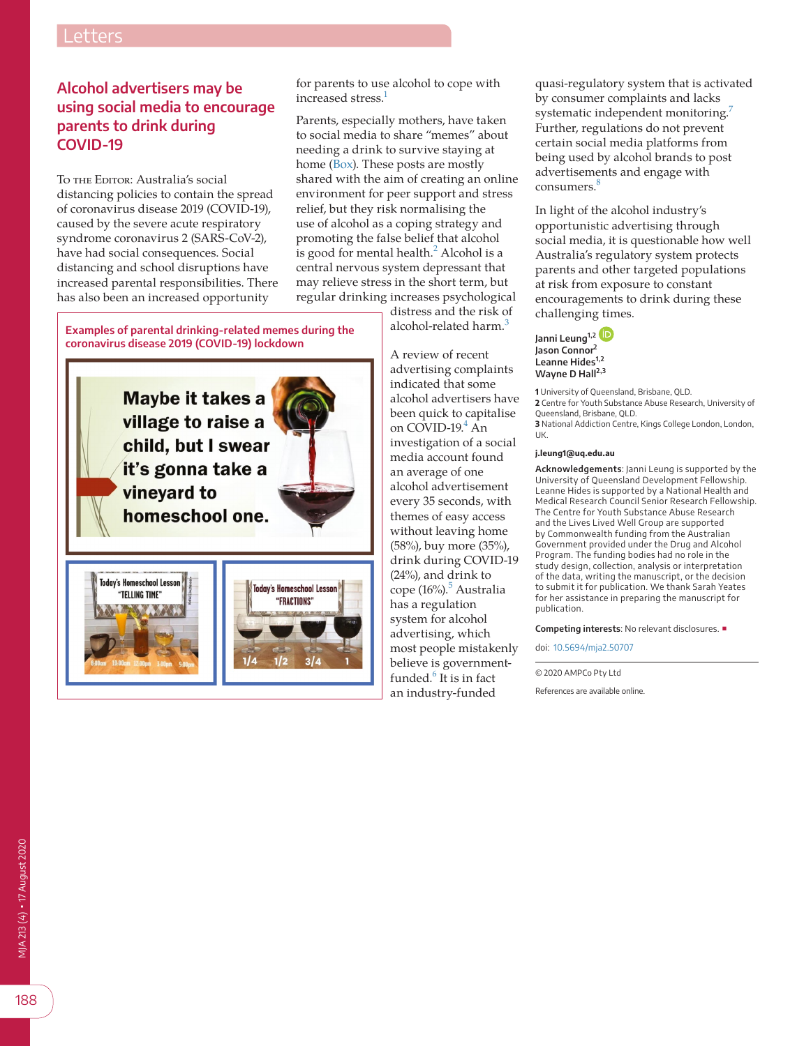## Letters

## **Alcohol advertisers may be using social media to encourage parents to drink during COVID-19**

To the Editor: Australia's social distancing policies to contain the spread of coronavirus disease 2019 (COVID-19), caused by the severe acute respiratory syndrome coronavirus 2 (SARS-CoV-2), have had social consequences. Social distancing and school disruptions have increased parental responsibilities. There has also been an increased opportunity

for parents to use alcohol to cope with increased stress.<sup>1</sup>

Parents, especially mothers, have taken to social media to share "memes" about needing a drink to survive staying at home ([Box](#page-0-0)). These posts are mostly shared with the aim of creating an online environment for peer support and stress relief, but they risk normalising the use of alcohol as a coping strategy and promoting the false belief that alcohol is good for mental health. $<sup>2</sup>$  $<sup>2</sup>$  $<sup>2</sup>$  Alcohol is a</sup> central nervous system depressant that may relieve stress in the short term, but regular drinking increases psychological

<span id="page-0-0"></span>**Examples of parental drinking-related memes during the coronavirus disease 2019 (COVID-19) lockdown**

**Maybe it takes a** village to raise a child, but I swear it's gonna take a **vineyard to** homeschool one.





distress and the risk of alcohol-related harm.<sup>[3](#page-1-2)</sup>

A review of recent advertising complaints indicated that some alcohol advertisers have been quick to capitalise on  $C\overline{O}$ VID-19. $4$  An investigation of a social media account found an average of one alcohol advertisement every 35 seconds, with themes of easy access without leaving home (58%), buy more (35%), drink during COVID-19 (24%), and drink to cope (16%).<sup>[5](#page-1-4)</sup> Australia has a regulation system for alcohol advertising, which most people mistakenly believe is governmentfunded.<sup>6</sup> It is in fact an industry-funded

quasi-regulatory system that is activated by consumer complaints and lacks systematic independent monitoring.<sup>[7](#page-1-6)</sup> Further, regulations do not prevent certain social media platforms from being used by alcohol brands to post advertisements and engage with  $consumes.$ <sup>[8](#page-1-7)</sup>

In light of the alcohol industry's opportunistic advertising through social media, it is questionable how well Australia's regulatory system protects parents and other targeted populations at risk from exposure to constant encouragements to drink during these challenging times.

**Janni Leung1,[2](https://orcid.org/0000-0001-5816-2959) Jason Connor2 Leanne Hides1,2 Wayne D Hall2,3**

**1** University of Queensland, Brisbane, QLD. **2** Centre for Youth Substance Abuse Research, University of Queensland, Brisbane, QLD. **3** National Addiction Centre, Kings College London, London, UK.

## **j.leung1@uq.edu.au**

**Acknowledgements**: Janni Leung is supported by the University of Queensland Development Fellowship. Leanne Hides is supported by a National Health and Medical Research Council Senior Research Fellowship. The Centre for Youth Substance Abuse Research and the Lives Lived Well Group are supported by Commonwealth funding from the Australian Government provided under the Drug and Alcohol Program. The funding bodies had no role in the study design, collection, analysis or interpretation of the data, writing the manuscript, or the decision to submit it for publication. We thank Sarah Yeates for her assistance in preparing the manuscript for publication.

**Competing interests**: No relevant disclosures. ■

doi: [10.5694/mja2.50707](https://doi.org/10.5694/mja2.50707)

© 2020 AMPCo Pty Ltd

References are available online.